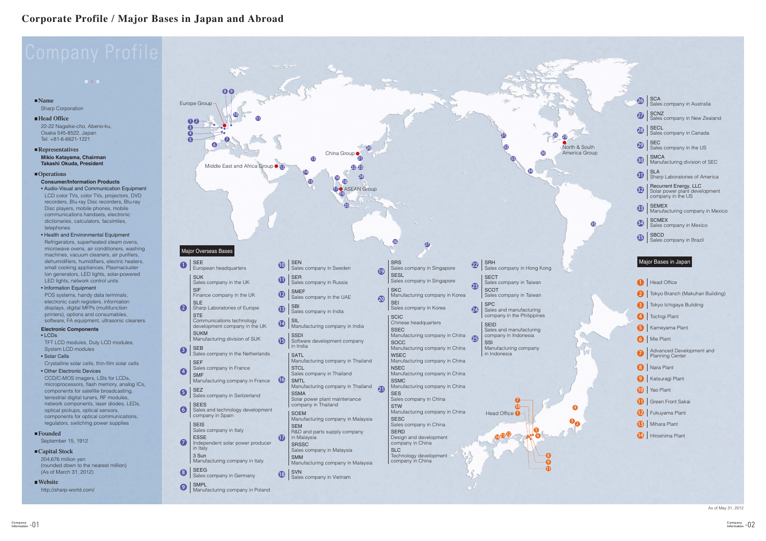

|       | 26              | SCA<br>Sales company in Australia                                           |
|-------|-----------------|-----------------------------------------------------------------------------|
|       | $\overline{27}$ | <b>SCNZ</b><br>Sales company in New Zealand                                 |
|       | 28              | <b>SECL</b><br>Sales company in Canada                                      |
| South | $\mathbf{Q}$    | SEC<br>Sales company in the US                                              |
| Group | 30              | <b>SMCA</b><br>Manufacturing division of SEC                                |
|       | 81)             | SLA<br>Sharp Laboratories of America                                        |
|       | 32              | Recurrent Energy, LLC<br>Solar power plant development<br>company in the US |
|       | 33              | <b>SEMEX</b><br>Manufacturing company in Mexico                             |
| ⊕     | 34              | <b>SCMEX</b><br>Sales company in Mexico                                     |
|       | \$              | SBCD<br>Sales company in Brazil                                             |
|       |                 |                                                                             |
|       |                 | Major Bases in Japan                                                        |
|       |                 | <b>Head Office</b>                                                          |
|       |                 | Tokyo Branch (Makuhari Building)                                            |
|       |                 | Tokyo Ichigaya Building                                                     |
|       |                 | Tochigi Plant                                                               |
|       | 5               | Kameyama Plant                                                              |
|       | 6               | Mie Plant                                                                   |
|       |                 | Advanced Development and<br>Planning Center                                 |
|       |                 | 8 Nara Plant                                                                |
|       | Ø               | Katsuragi Plant                                                             |
|       |                 | 10 Yao Plant                                                                |
|       |                 | <sup>1</sup> Green Front Sakai                                              |
|       |                 | <sup>2</sup> Fukuyama Plant                                                 |
|       |                 | <b>B</b> Mihara Plant                                                       |
|       |                 | 14 Hiroshima Plant                                                          |
|       |                 |                                                                             |
|       |                 |                                                                             |
|       |                 |                                                                             |

As of May 31, 2012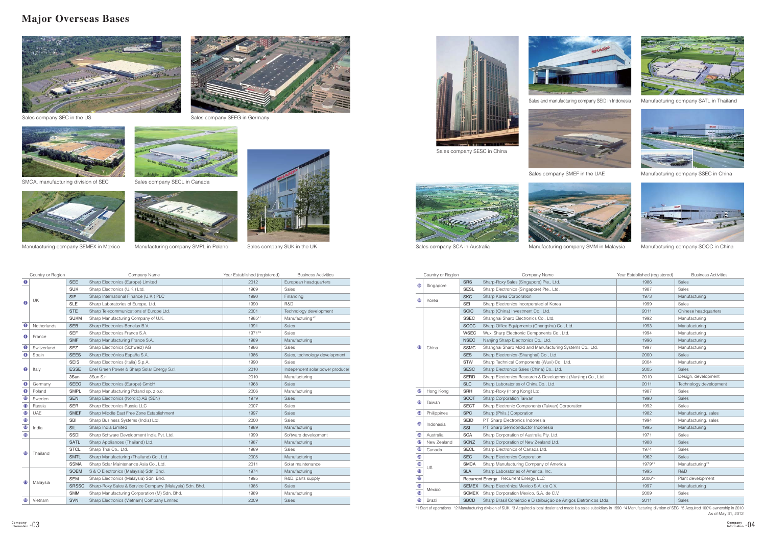## **Major Overseas Bases**



Sales company SEC in the US







Manufacturing company SEMEX in Mexico







Manufacturing company SMPL in Poland Sales company SUK in the UK



Sales company SESC in China





Sales company SEEG in Germany



As of May 31, 2012 \*1 Start of operations \*2 Manufacturing division of SUK \*3 Acquired a local dealer and made it a sales subsidiary in 1990 \*4 Manufacturing division of SEC \*5 Acquired 100% ownership in 2010









Sales and manufacturing company SEID in Indonesia Manufacturing company SATL in Thailand



Sales company SMEF in the UAE Manufacturing company SSEC in China



|                 | Country or Region |              | Company Name                                            | Year Established (registered) | <b>Business Activities</b>       |
|-----------------|-------------------|--------------|---------------------------------------------------------|-------------------------------|----------------------------------|
| $\bf o$         |                   | <b>SEE</b>   | Sharp Electronics (Europe) Limited                      | 2012                          | European headquarters            |
| 0               |                   | <b>SUK</b>   | Sharp Electronics (U.K.) Ltd.                           | 1969                          | Sales                            |
|                 |                   | <b>SIF</b>   | Sharp International Finance (U.K.) PLC                  | 1990                          | Financing                        |
|                 | UK                | <b>SLE</b>   | Sharp Laboratories of Europe, Ltd.                      | 1990                          | R&D                              |
|                 |                   | <b>STE</b>   | Sharp Telecommunications of Europe Ltd.                 | 2001                          | Technology development           |
|                 |                   | <b>SUKM</b>  | Sharp Manufacturing Company of U.K.                     | 1985*1                        | Manufacturing* <sup>2</sup>      |
| ❸               | Netherlands       | <b>SEB</b>   | Sharp Electronics Benelux B.V.                          | 1991                          | Sales                            |
| ❹               |                   | <b>SEF</b>   | Sharp Electronics France S.A.                           | 1971*3                        | Sales                            |
|                 | France            | <b>SMF</b>   | Sharp Manufacturing France S.A.                         | 1989                          | Manufacturing                    |
| ❺               | Switzerland       | <b>SEZ</b>   | Sharp Electronics (Schweiz) AG                          | 1986                          | Sales                            |
| ❺               | Spain             | <b>SEES</b>  | Sharp Electrónica España S.A.                           | 1986                          | Sales, technology development    |
|                 |                   | <b>SEIS</b>  | Sharp Electronics (Italia) S.p.A.                       | 1990                          | Sales                            |
| ❼               | Italy             | <b>ESSE</b>  | Enel Green Power & Sharp Solar Energy S.r.l.            | 2010                          | Independent solar power producer |
|                 |                   | 3Sun         | 3Sun S.r.l.                                             | 2010                          | Manufacturing                    |
| ❸               | Germany           | <b>SEEG</b>  | Sharp Electronics (Europe) GmbH                         | 1968                          | Sales                            |
| $\mathbf 0$     | Poland            | <b>SMPL</b>  | Sharp Manufacturing Poland sp. z o.o.                   | 2006                          | Manufacturing                    |
| ❶               | Sweden            | <b>SEN</b>   | Sharp Electronics (Nordic) AB (SEN)                     | 1979                          | <b>Sales</b>                     |
| $\bf \Phi$      | Russia            | <b>SER</b>   | Sharp Electronics Russia LLC                            | 2007                          | Sales                            |
| ®               | <b>UAE</b>        | <b>SMEF</b>  | Sharp Middle East Free Zone Establishment               | 1997                          | Sales                            |
| $\mathbf{\Phi}$ |                   | <b>SBI</b>   | Sharp Business Systems (India) Ltd.                     | 2000                          | Sales                            |
| $\bf \Phi$      | India             | <b>SIL</b>   | Sharp India Limited                                     | 1989                          | Manufacturing                    |
| $\mathbf{G}$    |                   | <b>SSDI</b>  | Sharp Software Development India Pvt. Ltd.              | 1999                          | Software development             |
|                 |                   | <b>SATL</b>  | Sharp Appliances (Thailand) Ltd.                        | 1987                          | Manufacturing                    |
| ⊕               | Thailand          | <b>STCL</b>  | Sharp Thai Co., Ltd.                                    | 1989                          | Sales                            |
|                 |                   | <b>SMTL</b>  | Sharp Manufacturing (Thailand) Co., Ltd.                | 2005                          | Manufacturing                    |
|                 |                   | <b>SSMA</b>  | Sharp Solar Maintenance Asia Co., Ltd.                  | 2011                          | Solar maintenance                |
|                 |                   | <b>SOEM</b>  | S & O Electronics (Malaysia) Sdn. Bhd.                  | 1974                          | Manufacturing                    |
| ⊕               | Malaysia          | <b>SEM</b>   | Sharp Electronics (Malaysia) Sdn. Bhd.                  | 1995                          | R&D, parts supply                |
|                 |                   | <b>SRSSC</b> | Sharp-Roxy Sales & Service Company (Malaysia) Sdn. Bhd. | 1985                          | Sales                            |
|                 |                   | <b>SMM</b>   | Sharp Manufacturing Corporation (M) Sdn. Bhd.           | 1989                          | Manufacturing                    |
| ®               | Vietnam           | <b>SVN</b>   | Sharp Electronics (Vietnam) Company Limited             | 2009                          | Sales                            |

Sales company SCA in Australia **Manufacturing company SMM in Malaysia** Manufacturing company SOCC in China

|                | Country or Region |              | Company Name                                                      | Year Established (registered) | <b>Business Activities</b> |
|----------------|-------------------|--------------|-------------------------------------------------------------------|-------------------------------|----------------------------|
|                |                   | <b>SRS</b>   | Sharp-Roxy Sales (Singapore) Pte., Ltd.                           | 1986                          | Sales                      |
| $\mathbf \Phi$ | Singapore         | <b>SESL</b>  | Sharp Electronics (Singapore) Pte., Ltd.                          | 1987                          | Sales                      |
| ☎              |                   | <b>SKC</b>   | Sharp Korea Corporation                                           | 1973                          | Manufacturing              |
|                | Korea             | SEI          | Sharp Electronics Incorporated of Korea                           | 1999                          | Sales                      |
|                |                   | <b>SCIC</b>  | Sharp (China) Investment Co., Ltd.                                | 2011                          | Chinese headquarters       |
|                |                   | <b>SSEC</b>  | Shanghai Sharp Electronics Co., Ltd.                              | 1992                          | Manufacturing              |
|                |                   | <b>SOCC</b>  | Sharp Office Equipments (Changshu) Co., Ltd.                      | 1993                          | Manufacturing              |
|                |                   | <b>WSEC</b>  | Wuxi Sharp Electronic Components Co., Ltd.                        | 1994                          | Manufacturing              |
|                |                   | <b>NSEC</b>  | Nanjing Sharp Electronics Co., Ltd.                               | 1996                          | Manufacturing              |
| ⊕              | China             | <b>SSMC</b>  | Shanghai Sharp Mold and Manufacturing Systems Co., Ltd.           | 1997                          | Manufacturing              |
|                |                   | <b>SES</b>   | Sharp Electronics (Shanghai) Co., Ltd.                            | 2000                          | Sales                      |
|                |                   | <b>STW</b>   | Sharp Technical Components (Wuxi) Co., Ltd.                       | 2004                          | Manufacturing              |
|                |                   | <b>SESC</b>  | Sharp Electronics Sales (China) Co., Ltd.                         | 2005                          | Sales                      |
|                |                   | <b>SERD</b>  | Sharp Electronics Research & Development (Nanjing) Co., Ltd.      | 2010                          | Design, development        |
|                |                   | <b>SLC</b>   | Sharp Laboratories of China Co., Ltd.                             | 2011                          | Technology development     |
| ֎              | Hong Kong         | <b>SRH</b>   | Sharp-Roxy (Hong Kong) Ltd.                                       | 1987                          | Sales                      |
| ❸              |                   | <b>SCOT</b>  | Sharp Corporation Taiwan                                          | 1990                          | <b>Sales</b>               |
|                | Taiwan            | <b>SECT</b>  | Sharp Electronic Components (Taiwan) Corporation                  | 1992                          | Sales                      |
| 24             | Philippines       | <b>SPC</b>   | Sharp (Phils.) Corporation                                        | 1982                          | Manufacturing, sales       |
| ⊕              | Indonesia         | <b>SEID</b>  | P.T. Sharp Electronics Indonesia                                  | 1994                          | Manufacturing, sales       |
|                |                   | SSI          | P.T. Sharp Semiconductor Indonesia                                | 1995                          | Manufacturing              |
| $\bullet$      | Australia         | <b>SCA</b>   | Sharp Corporation of Australia Pty. Ltd.                          | 1971                          | Sales                      |
| $\bm{v}$       | New Zealand       | <b>SCNZ</b>  | Sharp Corporation of New Zealand Ltd.                             | 1988                          | <b>Sales</b>               |
| 28             | Canada            | <b>SECL</b>  | Sharp Electronics of Canada Ltd.                                  | 1974                          | Sales                      |
|                |                   | <b>SEC</b>   | <b>Sharp Electronics Corporation</b>                              | 1962                          | Sales                      |
|                | US                | <b>SMCA</b>  | Sharp Manufacturing Company of America                            | 1979*1                        | Manufacturing*4            |
|                |                   | <b>SLA</b>   | Sharp Laboratories of America, Inc.                               | 1995                          | R&D                        |
| 999            |                   |              | Recurrent Energy Recurrent Energy, LLC                            | 2006*5                        | Plant development          |
| 68             | Mexico            | <b>SEMEX</b> | Sharp Electrónica Mexico S.A. de C.V.                             | 1997                          | Manufacturing              |
| $\frac{1}{3}$  |                   | <b>SCMEX</b> | Sharp Corporation Mexico, S.A. de C.V.                            | 2009                          | Sales                      |
| 6              | Brazil            | <b>SBCD</b>  | Sharp Brasil Comércio e Distribuição de Artigos Eletrônicos Ltda. | 2011                          | Sales                      |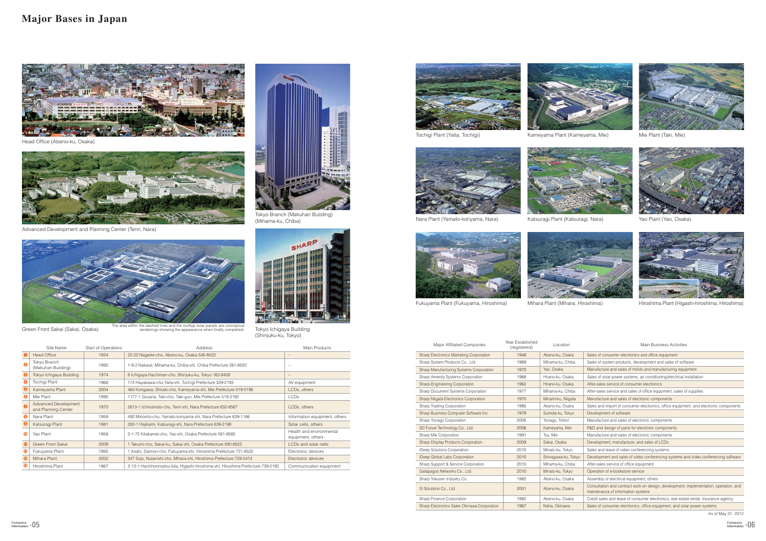## **Major Bases in Japan**

As of May 31, 2012

| Sales of consumer electronics and office equipment                                                                          |
|-----------------------------------------------------------------------------------------------------------------------------|
| Sales of system products, development and sales of software                                                                 |
| Manufacture and sales of molds and manufacturing equipment                                                                  |
| Sales of solar power systems, air conditioning/electrical installation                                                      |
| After-sales service of consumer electronics                                                                                 |
| After-sales service and sales of office equipment, sales of supplies                                                        |
| Manufacture and sales of electronic components                                                                              |
| Sales and import of consumer electronics, office equipment, and electronic components                                       |
| Development of software                                                                                                     |
| Manufacture and sales of electronic components                                                                              |
| R&D and design of parts for electronic components                                                                           |
| Manufacture and sales of electronic components                                                                              |
| Development, manufacture, and sales of LCDs                                                                                 |
| Sales and lease of video conferencing systems                                                                               |
| Development and sales of video conferencing systems and video conferencing software                                         |
| After-sales service of office equipment                                                                                     |
| Operation of e-bookstore service                                                                                            |
| Assembly of electrical equipment, others                                                                                    |
| Consultation and contract work on design, development, implementation, operation, and<br>maintenance of information systems |
| Credit sales and lease of consumer electronics, real estate rental, insurance agency                                        |
| Sales of consumer electronics, office equipment, and solar power systems                                                    |
|                                                                                                                             |

|                       | Site Name                                   | Start of Operations | Address                                                                         | Main Products                                 |
|-----------------------|---------------------------------------------|---------------------|---------------------------------------------------------------------------------|-----------------------------------------------|
|                       | <b>Head Office</b>                          | 1924                | 22-22 Nagaike-cho, Abeno-ku, Osaka 545-8522                                     | $\qquad \qquad -$                             |
| $\boldsymbol{\Omega}$ | Tokyo Branch<br>(Makuhari Building)         | 1992                | 1-9-2 Nakase, Mihama-ku, Chiba-shi, Chiba Prefecture 261-8520                   |                                               |
|                       | Tokyo Ichigaya Building                     | 1974                | 8 Ichigaya-Hachiman-cho, Shinjuku-ku, Tokyo 162-8408                            |                                               |
|                       | Tochigi Plant                               | 1968                | 174 Hayakawa-cho, Yaita-shi, Tochigi Prefecture 329-2193                        | AV equipment                                  |
|                       | Kameyama Plant                              | 2004                | 464 Kohgawa, Shiraki-cho, Kameyama-shi, Mie Prefecture 519-0198                 | LCDs, others                                  |
| G                     | Mie Plant                                   | 1995                | 1177-1 Gosana, Taki-cho, Taki-gun, Mie Prefecture 519-2192                      | <b>LCDs</b>                                   |
| 6                     | Advanced Development<br>and Planning Center | 1970                | 2613-1 Ichinomoto-cho, Tenri-shi, Nara Prefecture 632-8567                      | LCDs, others                                  |
| B                     | Nara Plant                                  | 1959                | 492 Minosho-cho, Yamato-koriyama-shi, Nara Prefecture 639-1186                  | Information equipment, others                 |
|                       | Katsuragi Plant                             | 1981                | 282-1 Hajikami, Katsuragi-shi, Nara Prefecture 639-2198                         | Solar cells, others                           |
| ◍                     | Yao Plant                                   | 1958                | 3-1-72 Kitakamei-cho, Yao-shi, Osaka Prefecture 581-8585                        | Health and environmental<br>equipment, others |
| t                     | Green Front Sakai                           | 2009                | Takumi-cho, Sakai-ku, Sakai-shi, Osaka Prefecture 590-8522                      | LCDs and solar cells                          |
| œ                     | Fukuyama Plant                              | 1985                | Asahi, Daimon-cho, Fukuyama-shi, Hiroshima Prefecture 721-8522                  | Electronic devices                            |
| ®                     | Mihara Plant                                | 2002                | 247 Sojo, Nutanishi-cho, Mihara-shi, Hiroshima Prefecture 729-0474              | Electronic devices                            |
|                       | Hiroshima Plant                             | 1967                | 2-13-1 Hachihonmatsu-lida, Higashi-hiroshima-shi, Hiroshima Prefecture 739-0192 | Communication equipment                       |



| Major Affiliated Companies                  | Year Established<br>(registered) | Location            |
|---------------------------------------------|----------------------------------|---------------------|
| Sharp Electronics Marketing Corporation     | 1948                             | Abeno-ku, Osaka     |
| Sharp System Products Co., Ltd.             | 1969                             | Mihama-ku, Chiba    |
| Sharp Manufacturing Systems Corporation     | 1970                             | Yao, Osaka          |
| <b>Sharp Amenity Systems Corporation</b>    | 1968                             | Hirano-ku, Osaka    |
| Sharp-Engineering Corporation               | 1962                             | Hirano-ku, Osaka    |
| <b>Sharp Document Systems Corporation</b>   | 1977                             | Mihama-ku, Chiba    |
| Sharp Niigata Electronics Corporation       | 1970                             | Minami-ku, Niigata  |
| <b>Sharp Trading Corporation</b>            | 1985                             | Abeno-ku, Osaka     |
| Sharp Business Computer Software Inc.       | 1979                             | Sumida-ku, Tokyo    |
| Sharp Yonago Corporation                    | 2005                             | Yonago, Tottori     |
| SD Future Technology Co., Ltd.              | 2006                             | Kameyama, Mie       |
| Sharp Mie Corporation                       | 1991                             | Tsu, Mie            |
| <b>Sharp Display Products Corporation</b>   | 2009                             | Sakai, Osaka        |
| Deep Solutions Corporation                  | 2010                             | Minato-ku, Tokyo    |
| Deep Global Labs Corporation                | 2010                             | Shinagawa-ku, Tokyo |
| Sharp Support & Service Corporation         | 2010                             | Mihama-ku, Chiba    |
| Galapagos Networks Co., Ltd.                | 2010                             | Minato-ku, Tokyo    |
| Sharp Tokusen Industry Co.                  | 1982                             | Abeno-ku, Osaka     |
| SI Solutions Co., Ltd.                      | 2001                             | Abeno-ku, Osaka     |
| <b>Sharp Finance Corporation</b>            | 1982                             | Abeno-ku, Osaka     |
| Sharp Electronics Sales Okinawa Corporation | 1967                             | Naha, Okinawa       |











Nara Plant (Yamato-koriyama, Nara) Katsuragi Plant (Katsuragi, Nara) Yao Plant (Yao, Osaka)



Head Office (Abeno-ku, Osaka)













Fukuyama Plant (Fukuyama, Hiroshima) Mihara Plant (Mihara, Hiroshima) Hiroshima Plant (Higashi-hiroshima, Hiroshima)

#### Main Business Activities



Advanced Development and Planning Center (Tenri, Nara)





(Shinjuku-ku, Tokyo)



(Mihama-ku, Chiba)

Green Front Sakai (Sakai, Osaka) Tokyo Ichigaya Building The area within the dashed lines and the rooftop solar panels are conceptual renderings showing the appearance when finally completed.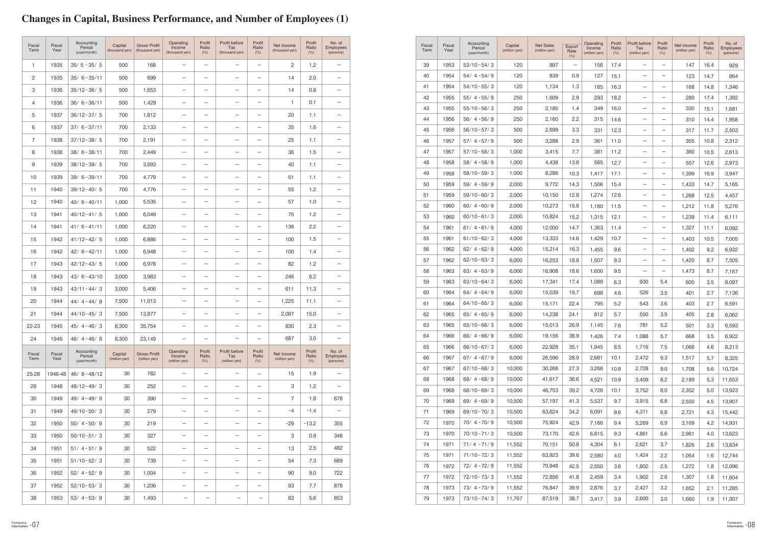# **Changes in Capital, Business Performance, and Number of Employees (1)**

| <b>Fiscal</b><br>Term | Fiscal<br>Year | Accounting<br>Period<br>(year/month) | Capital<br>(million yen) | <b>Net Sales</b><br>(million yen) | Export<br>Rate<br>(% )           | Operating<br>Income<br>(million yen) | Profit<br>Ratio<br>(% ) | Profit before<br>Tax<br>(million yen) | Profit<br>Ratio<br>(% )  | Net Income<br>(million yen) | Profit<br>Ratio<br>(% ) | No. of<br><b>Employees</b><br>(persons) |
|-----------------------|----------------|--------------------------------------|--------------------------|-----------------------------------|----------------------------------|--------------------------------------|-------------------------|---------------------------------------|--------------------------|-----------------------------|-------------------------|-----------------------------------------|
| 39                    | 1953           | $53/10 - 54/3$                       | 120                      | 897                               | $\overbrace{\phantom{12322111}}$ | 156                                  | 17.4                    | —                                     |                          | 147                         | 16.4                    | 929                                     |
| 40                    | 1954           | $54/4 - 54/9$                        | 120                      | 839                               | 0.9                              | 127                                  | 15.1                    | —                                     |                          | 123                         | 14.7                    | 864                                     |
| 41                    | 1954           | 54/10-55/3                           | 120                      | 1,134                             | 1.3                              | 185                                  | 16.3                    | $\overline{\phantom{0}}$              | $\overline{\phantom{0}}$ | 168                         | 14.8                    | 1,346                                   |
| 42                    | 1955           | $55/4 - 55/9$                        | 250                      | 1,609                             | 2.9                              | 293                                  | 18.2                    | —                                     | $\overline{\phantom{0}}$ | 280                         | 17.4                    | 1,392                                   |
| 43                    | 1955           | $55/10 - 56/3$                       | 250                      | 2,185                             | 1.4                              | 349                                  | 16.0                    |                                       |                          | 330                         | 15.1                    | 1,681                                   |
| 44                    | 1956           | $56/4 - 56/9$                        | 250                      | 2,160                             | 2.2                              | 315                                  | 14.6                    | —                                     |                          | 310                         | 14.4                    | 1,958                                   |
| 45                    | 1956           | $56/10 - 57/3$                       | 500                      | 2,699                             | 3.3                              | 331                                  | 12.3                    | —                                     |                          | 317                         | 11.7                    | 2,503                                   |
| 46                    | 1957           | $57/4 - 57/9$                        | 500                      | 3,288                             | 2.9                              | 361                                  | 11.0                    | —                                     |                          | 355                         | 10.8                    | 2,312                                   |
| 47                    | 1957           | $57/10 - 58/3$                       | 1,000                    | 3,415                             | 7.7                              | 381                                  | 11.2                    | —                                     |                          | 360                         | 10.5                    | 2,613                                   |
| 48                    | 1958           | $58/4 - 58/9$                        | 1,000                    | 4,438                             | 13.6                             | 565                                  | 12.7                    | —                                     |                          | 557                         | 12.6                    | 2,973                                   |
| 49                    | 1958           | $58/10 - 59/3$                       | 1,000                    | 8,286                             | 10.3                             | 1,417                                | 17.1                    | $\overline{\phantom{0}}$              |                          | 1,399                       | 16.9                    | 3,947                                   |
| 50                    | 1959           | $59/4 - 59/9$                        | 2,000                    | 9,772                             | 14.3                             | 1,506                                | 15.4                    | —                                     | $\qquad \qquad -$        | 1,433                       | 14.7                    | 5,165                                   |
| 51                    | 1959           | $59/10 - 60/3$                       | 2,000                    | 10,150                            | 12.8                             | 1,274                                | 12.6                    | —                                     |                          | 1,268                       | 12.5                    | 4,457                                   |
| 52                    | 1960           | $60/4 - 60/9$                        | 2,000                    | 10,273                            | 15.8                             | 1,180                                | 11.5                    | —                                     |                          | 1,212                       | 11.8                    | 5,276                                   |
| 53                    | 1960           | $60/10 - 61/3$                       | 2,000                    | 10,824                            | 15.2                             | 1,315                                | 12.1                    | -                                     |                          | 1,239                       | 11.4                    | 6,111                                   |
| 54                    | 1961           | $61/4 - 61/9$                        | 4,000                    | 12,000                            | 14.7                             | 1,363                                | 11.4                    | —                                     |                          | 1,327                       | 11.1                    | 6,092                                   |
| 55                    | 1961           | $61/10 - 62/3$                       | 4,000                    | 13,333                            | 14.6                             | 1,429                                | 10.7                    | —                                     | —                        | 1,403                       | 10.5                    | 7,005                                   |
| 56                    | 1962           | $62/4 - 62/9$                        | 4,000                    | 15,214                            | 16.3                             | 1,455                                | 9.6                     | —                                     | $\qquad \qquad -$        | 1,402                       | 9.2                     | 6,932                                   |
| 57                    | 1962           | $62/10 - 63/3$                       | 6,000                    | 16,253                            | 18.8                             | 1,507                                | 9.3                     | —                                     | —                        | 1,420                       | 8.7                     | 7,505                                   |
| 58                    | 1963           | $63/4 - 63/9$                        | 6,000                    | 16,908                            | 18.6                             | 1,600                                | 9.5                     | —                                     | —                        | 1,473                       | 8.7                     | 7,167                                   |
| 59                    | 1963           | $63/10 - 64/3$                       | 6,000                    | 17,341                            | 17.4                             | 1,088                                | 6.3                     | 930                                   | 5.4                      | 600                         | 3.5                     | 8,097                                   |
| 60                    | 1964           | $64/4 - 64/9$                        | 6,000                    | 15,039                            | 19.7                             | 698                                  | 4.6                     | 526                                   | 3.5                      | 401                         | 2.7                     | 7,136                                   |
| 61                    | 1964           | $64/10 - 65/3$                       | 6,000                    | 15,171                            | 22.4                             | 795                                  | 5.2                     | 543                                   | 3.6                      | 403                         | 2.7                     | 6,591                                   |
| 62                    | 1965           | $65/4 - 65/9$                        | 6,000                    | 14,238                            | 24.1                             | 812                                  | 5.7                     | 550                                   | 3.9                      | 405                         | 2.8                     | 6,062                                   |
| 63                    | 1965           | $65/10 - 66/3$                       | 6,000                    | 15,013                            | 26.9                             | 1,145                                | 7.6                     | 781                                   | 5.2                      | 501                         | 3.3                     | 6,593                                   |
| 64                    | 1966           | $66/4 - 66/9$                        | 6,000                    | 19,156                            | 38.9                             | 1,426                                | 7.4                     | 1,088                                 | 5.7                      | 668                         | 3.5                     | 6,922                                   |
| 65                    | 1966           | $66/10 - 67/3$                       | 6,000                    | 22,928                            | 35.1                             | 1,945                                | 8.5                     | 1,716                                 | 7.5                      | 1,066                       | 4.6                     | 8,213                                   |
| 66                    | 1967           | $67/4 - 67/9$                        | 6,000                    | 26,596                            | 28.9                             | 2,681                                | 10.1                    | 2,472                                 | 9.3                      | 1,517                       | 5.7                     | 8,325                                   |
| 67                    | 1967           | $67/10 - 68/3$                       | 10,000                   | 30,268                            | 27.3                             | 3,268                                | 10.8                    | 2,728                                 | 9.0                      | 1,708                       | 5.6                     | 10,724                                  |
| 68                    | 1968           | $68/4 - 68/9$                        | 10,000                   | 41,617                            | 36.6                             | 4,521                                | 10.9                    | 3,409                                 | 8.2                      | 2,189                       | 5.3                     | 11,653                                  |
| 69                    | 1968           | $68/10 - 69/3$                       | 10,000                   | 46,753                            | 39.2                             | 4,726                                | 10.1                    | 3,752                                 | 8.0                      | 2,352                       | 5.0                     | 13,923                                  |
| 70                    | 1969           | $69/4 - 69/9$                        | 10,500                   | 57,197                            | 41.3                             | 5,537                                | 9.7                     | 3,915                                 | 6.8                      | 2,550                       | 4.5                     | 13,907                                  |
| 71                    | 1969           | $69/10 - 70/3$                       | 10,500                   | 63,624                            | 34.2                             | 6,091                                | 9.6                     | 4,311                                 | 6.8                      | 2,721                       | 4.3                     | 15,442                                  |
| 72                    | 1970           | $70/4 - 70/9$                        | 10,500                   | 75,924                            | 42.9                             | 7,166                                | 9.4                     | 5,269                                 | 6.9                      | 3,169                       | 4.2                     | 14,931                                  |
| 73                    | 1970           | $70/10 - 71/3$                       | 10,500                   | 73,170                            | 42.6                             | 6,815                                | 9.3                     | 4,861                                 | 6.6                      | 2,961                       | 4.0                     | 13,623                                  |
| 74                    | 1971           | $71/4 - 71/9$                        | 11,552                   | 70,151                            | 50.8                             | 4,304                                | 6.1                     | 2,621                                 | 3.7                      | 1,826                       | 2.6                     | 13,834                                  |
| 75                    | 1971           | $71/10 - 72/3$                       | 11,552                   | 63,923                            | 39.6                             | 2,580                                | 4.0                     | 1,424                                 | 2.2                      | 1,054                       | 1.6                     | 12,744                                  |
| 76                    | 1972           | $72/4 - 72/9$                        | 11,552                   | 70,948                            | 42.5                             | 2,550                                | 3.6                     | 1,802                                 | 2.5                      | 1,272                       | 1.8                     | 12,096                                  |
| 77                    | 1972           | $72/10 - 73/3$                       | 11,552                   | 72,856                            | 41.8                             | 2,459                                | 3.4                     | 1,902                                 | 2.6                      | 1,307                       | 1.8                     | 11,604                                  |
| 78                    | 1973           | $73/4 - 73/9$                        | 11,552                   | 76,847                            | 39.9                             | 2,876                                | 3.7                     | 2,427                                 | 3.2                      | 1,652                       | 2.1                     | 11,285                                  |
| 79                    | 1973           | $73/10 - 74/3$                       | 11,767                   | 87,519                            | 38.7                             | 3,417                                | 3.9                     | 2,600                                 | 3.0                      | 1,660                       | 1.9                     | 11,307                                  |

| Fiscal<br>Term | Fiscal<br>Year | Accounting<br>Period<br>(year/month) | Capital<br>(thousand yen) | <b>Gross Profit</b><br>(thousand yen) | Operating<br>Income<br>(thousand yen) | Profit<br>Ratio<br>(% )  | Profit before<br><b>Tax</b><br>(thousand yen) | Profit<br>Ratio<br>(% )           | Net Income<br>(thousand yen) | Profit<br>Ratio<br>(% ) | No. of<br><b>Employees</b><br>(persons) |
|----------------|----------------|--------------------------------------|---------------------------|---------------------------------------|---------------------------------------|--------------------------|-----------------------------------------------|-----------------------------------|------------------------------|-------------------------|-----------------------------------------|
| $\mathbf{1}$   | 1935           | $35/5 - 35/5$                        | 500                       | 168                                   | $\overline{\phantom{0}}$              | $\overline{\phantom{m}}$ | $\overline{\phantom{0}}$                      | $\overline{\phantom{m}}$          | 2                            | 1.2                     | $\qquad \qquad -$                       |
| 2              | 1935           | $35/6 - 35/11$                       | 500                       | 699                                   | $\overline{\phantom{0}}$              | $\qquad \qquad -$        | $\overline{\phantom{0}}$                      | $\overline{\phantom{m}}$          | 14                           | 2.0                     | $\qquad \qquad -$                       |
| 3              | 1936           | $35/12 - 36/5$                       | 500                       | 1,653                                 |                                       | $\qquad \qquad -$        |                                               |                                   | 14                           | 0.8                     | $\qquad \qquad -$                       |
| $\overline{4}$ | 1936           | $36/6 - 36/11$                       | 500                       | 1,429                                 | $\overline{\phantom{m}}$              | $\qquad \qquad -$        |                                               | $\overline{\phantom{m}}$          | 1                            | 0.1                     | $\qquad \qquad -$                       |
| 5              | 1937           | $36/12 - 37/5$                       | 700                       | 1,812                                 | $\qquad \qquad -$                     | $\qquad \qquad -$        |                                               | $\overline{\phantom{m}}$          | 20                           | 1.1                     | $\qquad \qquad -$                       |
| 6              | 1937           | $37/6 - 37/11$                       | 700                       | 2,133                                 | $\overline{\phantom{m}}$              | $\qquad \qquad -$        |                                               | $\qquad \qquad -$                 | 35                           | 1.6                     | $\qquad \qquad -$                       |
| $\overline{7}$ | 1938           | $37/12 - 38/5$                       | 700                       | 2,191                                 |                                       | $\qquad \qquad -$        |                                               | $\overline{\phantom{m}}$          | 25                           | 1.1                     | $\qquad \qquad -$                       |
| 8              | 1938           | $38/6 - 38/11$                       | 700                       | 2,449                                 |                                       |                          |                                               | $\qquad \qquad -$                 | 36                           | 1.5                     | $\qquad \qquad -$                       |
| 9              | 1939           | $38/12 - 39/5$                       | 700                       | 3,593                                 |                                       | $\overline{\phantom{m}}$ |                                               | $\overline{\phantom{m}}$          | 40                           | 1.1                     | $\overline{\phantom{m}}$                |
| 10             | 1939           | $39/6 - 39/11$                       | 700                       | 4,779                                 |                                       | $\qquad \qquad -$        | $\overline{\phantom{0}}$                      | $\overline{\phantom{m}}$          | 51                           | 1.1                     | $\qquad \qquad -$                       |
| 11             | 1940           | $39/12 - 40/5$                       | 700                       | 4,776                                 |                                       | $\qquad \qquad$          |                                               | $\overbrace{\phantom{123221111}}$ | 55                           | 1.2                     |                                         |
| 12             | 1940           | $40/6 - 40/11$                       | 1,000                     | 5,535                                 | $\overline{\phantom{m}}$              | $\qquad \qquad -$        |                                               | $\overline{\phantom{m}}$          | 57                           | 1.0                     | $\qquad \qquad -$                       |
| 13             | 1941           | $40/12 - 41/5$                       | 1,000                     | 6,049                                 | $\overbrace{\phantom{123221111}}$     | $\qquad \qquad$          |                                               | $\overline{\phantom{m}}$          | 75                           | 1.2                     | $\qquad \qquad -$                       |
| 14             | 1941           | $41/6 - 41/11$                       | 1,000                     | 6,220                                 | $\qquad \qquad -$                     | $\qquad \qquad -$        |                                               | $\overline{\phantom{0}}$          | 136                          | 2.2                     | $\qquad \qquad -$                       |
| 15             | 1942           | $41/12 - 42/5$                       | 1,000                     | 6,886                                 | $\overline{\phantom{m}}$              | $\overline{\phantom{m}}$ |                                               | $\overline{\phantom{m}}$          | 100                          | 1.5                     | $\qquad \qquad -$                       |
| 16             | 1942           | $42/6 - 42/11$                       | 1,000                     | 6,948                                 | $\overline{\phantom{m}}$              | $\qquad \qquad -$        |                                               | $\overline{\phantom{0}}$          | 100                          | 1.4                     | $\qquad \qquad -$                       |
| 17             | 1943           | $42/12 - 43/5$                       | 1,000                     | 6,978                                 |                                       | $\qquad \qquad -$        |                                               | $\overline{\phantom{m}}$          | 82                           | 1.2                     | $\qquad \qquad -$                       |
| 18             | 1943           | $43/6 - 43/10$                       | 3,000                     | 3,983                                 |                                       |                          |                                               | $\overline{\phantom{m}}$          | 246                          | 6.2                     | $\overline{\phantom{m}}$                |
| 19             | 1943           | $43/11 - 44/3$                       | 3,000                     | 5,406                                 |                                       | $\qquad \qquad -$        |                                               | $\qquad \qquad -$                 | 611                          | 11.3                    | $\qquad \qquad -$                       |
| 20             | 1944           | $44/4 - 44/9$                        | 7,500                     | 11,013                                |                                       | $\overline{\phantom{m}}$ |                                               | $\overline{\phantom{m}}$          | 1,225                        | 11.1                    | $\qquad \qquad -$                       |
| 21             | 1944           | $44/10 - 45/3$                       | 7,500                     | 13,877                                |                                       |                          |                                               | $\overline{\phantom{m}}$          | 2,087                        | 15.0                    | $\qquad \qquad -$                       |
| 22-23          | 1945           | $45/4 - 46/3$                        | 8,300                     | 35,754                                | $\qquad \qquad -$                     | $\qquad \qquad -$        | —                                             | $\overline{\phantom{m}}$          | 830                          | 2.3                     | $\qquad \qquad -$                       |
| 24             | 1946           | $46/4 - 46/8$                        | 8,300                     | 23,149                                | $\overline{\phantom{m}}$              | $\qquad \qquad -$        | $\overline{\phantom{0}}$                      | $\qquad \qquad -$                 | 687                          | 3.0                     | $\overline{\phantom{m}}$                |
| Fiscal<br>Term | Fiscal<br>Year | Accounting<br>Period<br>(year/month) | Capital<br>(million yen)  | <b>Gross Profit</b><br>(million yen)  | Operating<br>Income<br>(million yen)  | Profit<br>Ratio<br>(% )  | Profit before<br>Tax<br>(million yen)         | Profit<br>Ratio<br>(% )           | Net Income<br>(million yen)  | Profit<br>Ratio<br>(% ) | No. of<br><b>Employees</b><br>(persons) |
| 25-28          | 1946-48        | $46/8 - 48/12$                       | 30                        | 782                                   | $\qquad \qquad -$                     | $\qquad \qquad -$        | —                                             | $\qquad \qquad -$                 | 15                           | 1.9                     | $\overline{\phantom{0}}$                |
| 29             | 1948           | $48/12 - 49/3$                       | 30                        | 252                                   | $\overline{\phantom{m}}$              | $\qquad \qquad -$        | $\qquad \qquad -$                             | $\overline{\phantom{m}}$          | 3                            | 1.2                     | $\overline{\phantom{m}}$                |
| 30             | 1949           | $49/4 - 49/9$                        | 30                        | 390                                   | $\overline{\phantom{m}}$              | $\qquad \qquad -$        | —                                             | $\qquad \qquad -$                 | 7                            | 1.8                     | 678                                     |
| 31             | 1949           | $49/10 - 50/3$                       | 30                        | 279                                   | $\overline{\phantom{m}}$              | $\qquad \qquad -$        | $\qquad \qquad -$                             | $\overline{\phantom{m}}$          | $-4$                         | $-1.4$                  | $\overline{\phantom{m}}$                |
| 32             | 1950           | $50/4 - 50/9$                        | 30                        | 219                                   | $\overline{\phantom{m}}$              | $\qquad \qquad -$        | —                                             | $\qquad \qquad -$                 | $-29$                        | $-13.2$                 | 355                                     |
| 33             | 1950           | $50/10 - 51/3$                       | 30                        | 327                                   | $\overline{\phantom{m}}$              | $\qquad \qquad -$        | $\qquad \qquad -$                             | $\overline{\phantom{m}}$          | 3                            | 0.9                     | 348                                     |
| 34             | 1951           | $51/4 - 51/9$                        | 30                        | 522                                   | $\overline{\phantom{m}}$              | $\qquad \qquad -$        | $\qquad \qquad -$                             | $\qquad \qquad -$                 | 13                           | 2.5                     | 482                                     |
| 35             | 1951           | $51/10 - 52/3$                       | 30                        | 739                                   | $\overline{\phantom{m}}$              | $\qquad \qquad -$        | $\qquad \qquad -$                             | $\qquad \qquad -$                 | 54                           | 7.3                     | 689                                     |
| 36             | 1952           | $52/4 - 52/9$                        | 30                        | 1,004                                 | $\overline{\phantom{m}}$              | $\qquad \qquad -$        | $\qquad \qquad -$                             | $\overline{\phantom{m}}$          | 90                           | 9.0                     | 722                                     |
| 37             | 1952           | $52/10 - 53/3$                       | 30                        | 1,206                                 |                                       | $\qquad \qquad -$        |                                               | $\qquad \qquad -$                 | 93                           | 7.7                     | 878                                     |
| 38             | 1953           | $53/4 - 53/9$                        | $30\,$                    | 1,493                                 | —                                     | $\qquad \qquad -$        | $\overline{\phantom{0}}$                      | $\qquad \qquad -$                 | 83                           | 5.6                     | 853                                     |